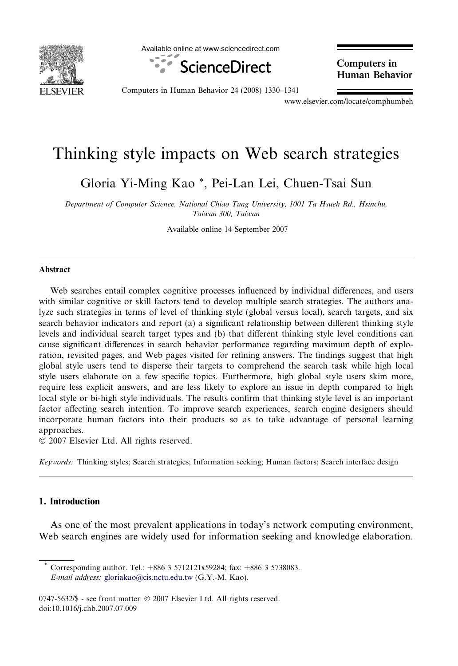

Available online at www.sciencedirect.com



Computers in Human Behavior

Computers in Human Behavior 24 (2008) 1330–1341

www.elsevier.com/locate/comphumbeh

# Thinking style impacts on Web search strategies

Gloria Yi-Ming Kao \*, Pei-Lan Lei, Chuen-Tsai Sun

Department of Computer Science, National Chiao Tung University, 1001 Ta Hsueh Rd., Hsinchu, Taiwan 300, Taiwan

Available online 14 September 2007

#### **Abstract**

Web searches entail complex cognitive processes influenced by individual differences, and users with similar cognitive or skill factors tend to develop multiple search strategies. The authors analyze such strategies in terms of level of thinking style (global versus local), search targets, and six search behavior indicators and report (a) a significant relationship between different thinking style levels and individual search target types and (b) that different thinking style level conditions can cause significant differences in search behavior performance regarding maximum depth of exploration, revisited pages, and Web pages visited for refining answers. The findings suggest that high global style users tend to disperse their targets to comprehend the search task while high local style users elaborate on a few specific topics. Furthermore, high global style users skim more, require less explicit answers, and are less likely to explore an issue in depth compared to high local style or bi-high style individuals. The results confirm that thinking style level is an important factor affecting search intention. To improve search experiences, search engine designers should incorporate human factors into their products so as to take advantage of personal learning approaches.

 $© 2007 Elsevier Ltd. All rights reserved.$ 

Keywords: Thinking styles; Search strategies; Information seeking; Human factors; Search interface design

## 1. Introduction

As one of the most prevalent applications in today's network computing environment, Web search engines are widely used for information seeking and knowledge elaboration.

Corresponding author. Tel.: +886 3 5712121x59284; fax: +886 3 5738083. E-mail address: [gloriakao@cis.nctu.edu.tw](mailto:gloriakao@cis.nctu.edu.tw) (G.Y.-M. Kao).

<sup>0747-5632/\$ -</sup> see front matter © 2007 Elsevier Ltd. All rights reserved. doi:10.1016/j.chb.2007.07.009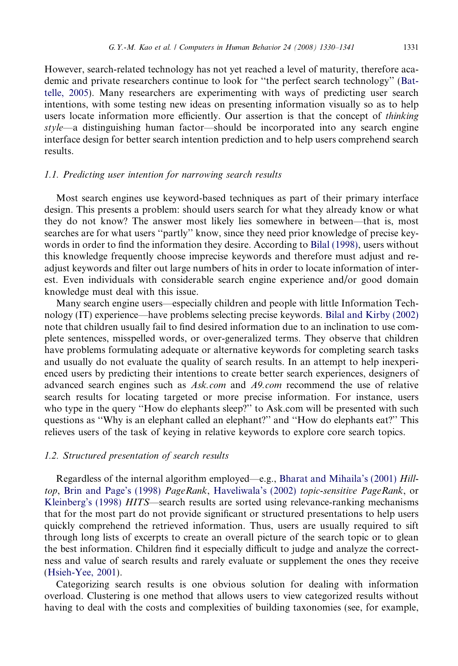However, search-related technology has not yet reached a level of maturity, therefore academic and private researchers continue to look for ''the perfect search technology'' ([Bat](#page--1-0)[telle, 2005](#page--1-0)). Many researchers are experimenting with ways of predicting user search intentions, with some testing new ideas on presenting information visually so as to help users locate information more efficiently. Our assertion is that the concept of *thinking*  $style$ —a distinguishing human factor—should be incorporated into any search engine interface design for better search intention prediction and to help users comprehend search results.

#### 1.1. Predicting user intention for narrowing search results

Most search engines use keyword-based techniques as part of their primary interface design. This presents a problem: should users search for what they already know or what they do not know? The answer most likely lies somewhere in between—that is, most searches are for what users ''partly'' know, since they need prior knowledge of precise keywords in order to find the information they desire. According to [Bilal \(1998\)](#page--1-0), users without this knowledge frequently choose imprecise keywords and therefore must adjust and readjust keywords and filter out large numbers of hits in order to locate information of interest. Even individuals with considerable search engine experience and/or good domain knowledge must deal with this issue.

Many search engine users—especially children and people with little Information Technology (IT) experience—have problems selecting precise keywords. [Bilal and Kirby \(2002\)](#page--1-0) note that children usually fail to find desired information due to an inclination to use complete sentences, misspelled words, or over-generalized terms. They observe that children have problems formulating adequate or alternative keywords for completing search tasks and usually do not evaluate the quality of search results. In an attempt to help inexperienced users by predicting their intentions to create better search experiences, designers of advanced search engines such as Ask.com and A9.com recommend the use of relative search results for locating targeted or more precise information. For instance, users who type in the query "How do elephants sleep?" to Ask.com will be presented with such questions as ''Why is an elephant called an elephant?'' and ''How do elephants eat?'' This relieves users of the task of keying in relative keywords to explore core search topics.

### 1.2. Structured presentation of search results

Regardless of the internal algorithm employed—e.g., [Bharat and Mihaila's \(2001\)](#page--1-0) Hilltop, [Brin and Page's \(1998\)](#page--1-0) PageRank, [Haveliwala's \(2002\)](#page--1-0) topic-sensitive PageRank, or [Kleinberg's \(1998\)](#page--1-0) HITS—search results are sorted using relevance-ranking mechanisms that for the most part do not provide significant or structured presentations to help users quickly comprehend the retrieved information. Thus, users are usually required to sift through long lists of excerpts to create an overall picture of the search topic or to glean the best information. Children find it especially difficult to judge and analyze the correctness and value of search results and rarely evaluate or supplement the ones they receive ([Hsieh-Yee, 2001](#page--1-0)).

Categorizing search results is one obvious solution for dealing with information overload. Clustering is one method that allows users to view categorized results without having to deal with the costs and complexities of building taxonomies (see, for example,